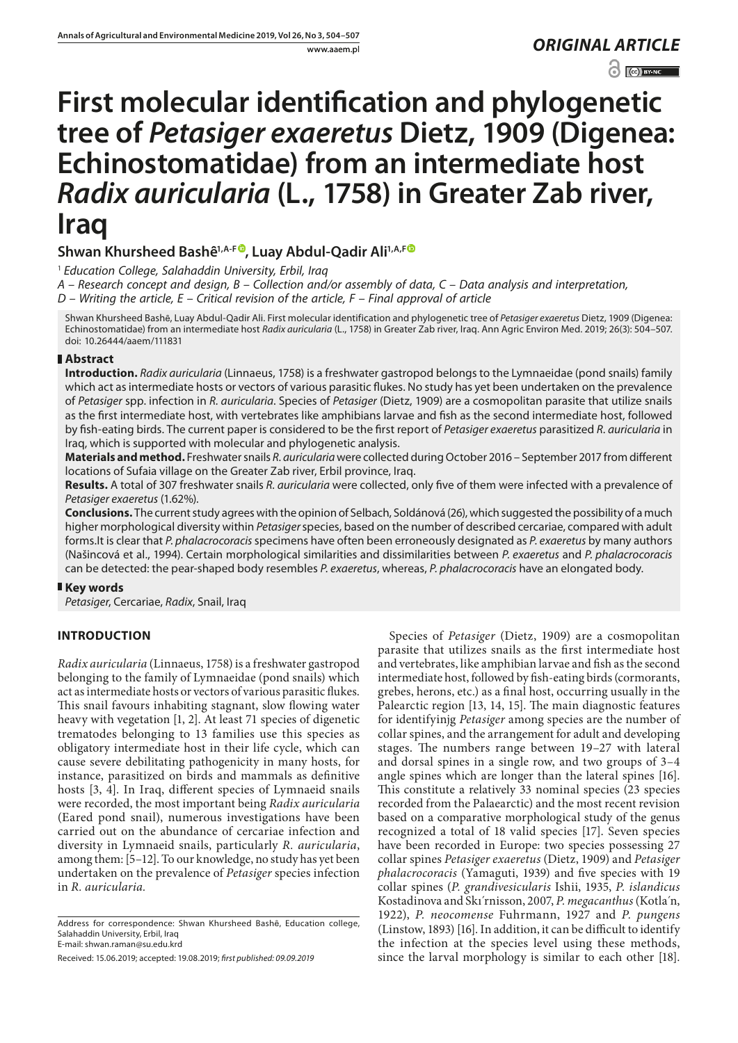www.aaem.pl *ORIGINAL [ARTICLE](http://creativecommons.org/licenses/by-nc/3.0/pl/deed.en)*   $\odot$   $\odot$  BY-NC

# **First molecular identification and phylogenetic tree of** *Petasiger exaeretus* **Dietz, 1909 (Digenea: Echinostomatidae) from an intermediate host**  *Radix auricularia* **(L., 1758) in Greater Zab river, Iraq**

# Shwan Khursheed Bashê<sup>1,A-[F](https://orcid.org/0000-0002-8490-8950)®</sup>, Luay Abdul-Qadir Ali<sup>1,A,F®</sup>

<sup>1</sup> *Education College, Salahaddin University, Erbil, Iraq*

*A – Research concept and design, B – Collection and/or assembly of data, C – Data analysis and interpretation,* 

*D – Writing the article, E – Critical revision of the article, F – Final approval of article*

Shwan Khursheed Bashȇ, Luay Abdul-Qadir Ali. First molecular identification and phylogenetic tree of *Petasiger exaeretus* Dietz, 1909 (Digenea: Echinostomatidae) from an intermediate host *Radix auricularia* (L., 1758) in Greater Zab river, Iraq. Ann Agric Environ Med. 2019; 26(3): 504–507. doi: 10.26444/aaem/111831

## **Abstract**

**Introduction.** *Radix auricularia* (Linnaeus, 1758) is a freshwater gastropod belongs to the Lymnaeidae (pond snails) family which act as intermediate hosts or vectors of various parasitic flukes. No study has yet been undertaken on the prevalence of *Petasiger* spp. infection in *R. auricularia*. Species of *Petasiger* (Dietz, 1909) are a cosmopolitan parasite that utilize snails as the first intermediate host, with vertebrates like amphibians larvae and fish as the second intermediate host, followed by fish-eating birds. The current paper is considered to be the first report of *Petasiger exaeretus* parasitized *R. auricularia* in Iraq, which is supported with molecular and phylogenetic analysis.

**Materials and method.** Freshwater snails *R. auricularia* were collected during October 2016 – September 2017 from different locations of Sufaia village on the Greater Zab river, Erbil province, Iraq.

**Results.** A total of 307 freshwater snails *R. auricularia* were collected, only five of them were infected with a prevalence of *Petasiger exaeretus* (1.62%).

**Conclusions.** The current study agrees with the opinion of Selbach, Soldánová (26), which suggested the possibility of a much higher morphological diversity within *Petasiger* species, based on the number of described cercariae, compared with adult forms.It is clear that *P. phalacrocoracis* specimens have often been erroneously designated as *P. exaeretus* by many authors (Našincová et al., 1994). Certain morphological similarities and dissimilarities between *P. exaeretus* and *P. phalacrocoracis* can be detected: the pear-shaped body resembles *P. exaeretus*, whereas, *P. phalacrocoracis* have an elongated body.

## **Key words**

*Petasiger*, Cercariae, *Radix*, Snail, Iraq

# **INTRODUCTION**

*Radix auricularia* (Linnaeus, 1758) is a freshwater gastropod belonging to the family of Lymnaeidae (pond snails) which act as intermediate hosts or vectors of various parasitic flukes. This snail favours inhabiting stagnant, slow flowing water heavy with vegetation [1, 2]. At least 71 species of digenetic trematodes belonging to 13 families use this species as obligatory intermediate host in their life cycle, which can cause severe debilitating pathogenicity in many hosts, for instance, parasitized on birds and mammals as definitive hosts [3, 4]. In Iraq, different species of Lymnaeid snails were recorded, the most important being *Radix auricularia*  (Eared pond snail), numerous investigations have been carried out on the abundance of cercariae infection and diversity in Lymnaeid snails, particularly *R. auricularia*, among them: [5–12]. To our knowledge, no study has yet been undertaken on the prevalence of *Petasiger* species infection in *R. auricularia.*

Address for correspondence: Shwan Khursheed Bashê, Education college, Salahaddin University, Erbil, Iraq E-mail: shwan.raman@su.edu.krd

Received: 15.06.2019; accepted: 19.08.2019; *first published: 09.09.2019*

Species of *Petasiger* (Dietz, 1909) are a cosmopolitan parasite that utilizes snails as the first intermediate host and vertebrates, like amphibian larvae and fish as the second intermediate host, followed by fish-eating birds (cormorants, grebes, herons, etc.) as a final host, occurring usually in the Palearctic region [13, 14, 15]. The main diagnostic features for identifyinjg *Petasiger* among species are the number of collar spines, and the arrangement for adult and developing stages. The numbers range between 19–27 with lateral and dorsal spines in a single row, and two groups of 3–4 angle spines which are longer than the lateral spines [16]. This constitute a relatively 33 nominal species (23 species recorded from the Palaearctic) and the most recent revision based on a comparative morphological study of the genus recognized a total of 18 valid species [17]. Seven species have been recorded in Europe: two species possessing 27 collar spines *Petasiger exaeretus* (Dietz, 1909) and *Petasiger phalacrocoracis* (Yamaguti, 1939) and five species with 19 collar spines (*P. grandivesicularis* Ishii, 1935, *P. islandicus* Kostadinova and Skı´rnisson, 2007, *P. megacanthus* (Kotla´n, 1922), *P. neocomense* Fuhrmann, 1927 and *P. pungens* (Linstow, 1893) [16]. In addition, it can be difficult to identify the infection at the species level using these methods, since the larval morphology is similar to each other [18].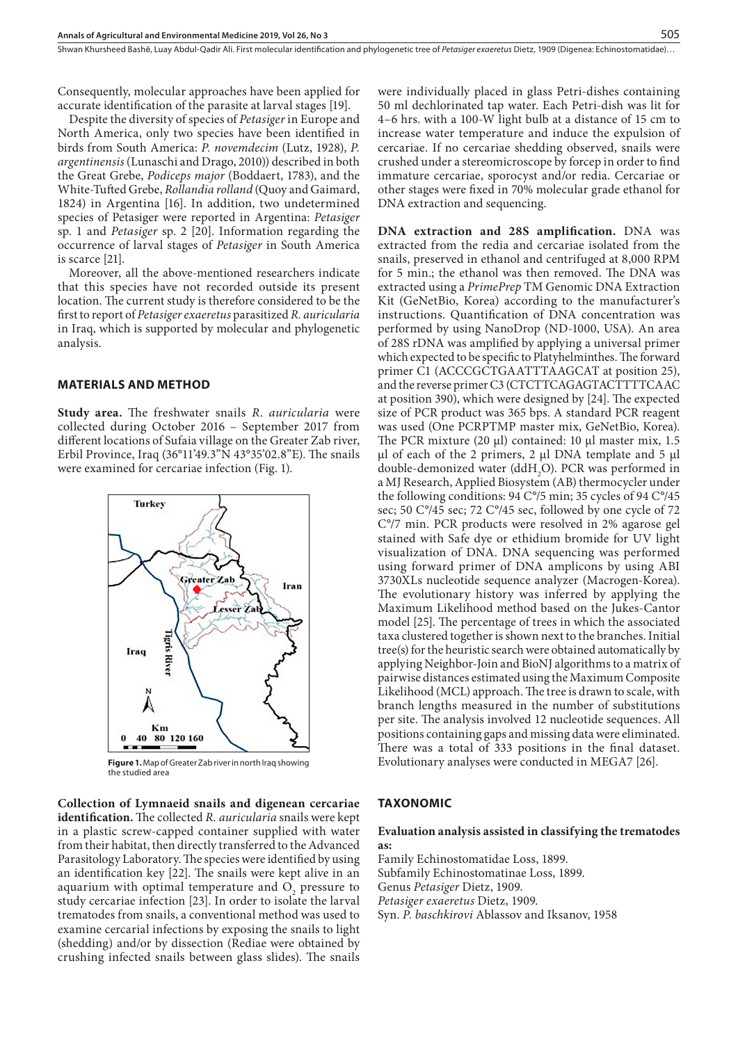Consequently, molecular approaches have been applied for accurate identification of the parasite at larval stages [19].

Despite the diversity of species of *Petasiger* in Europe and North America, only two species have been identified in birds from South America: *P. novemdecim* (Lutz, 1928), *P. argentinensis* (Lunaschi and Drago, 2010)) described in both the Great Grebe, *Podiceps major* (Boddaert, 1783), and the White-Tufted Grebe, *Rollandia rolland* (Quoy and Gaimard, 1824) in Argentina [16]. In addition, two undetermined species of Petasiger were reported in Argentina: *Petasiger* sp. 1 and *Petasiger* sp. 2 [20]. Information regarding the occurrence of larval stages of *Petasiger* in South America is scarce [21].

Moreover, all the above-mentioned researchers indicate that this species have not recorded outside its present location. The current study is therefore considered to be the first to report of *Petasiger exaeretus* parasitized *R. auricularia* in Iraq, which is supported by molecular and phylogenetic analysis.

#### **MATERIALS AND METHOD**

**Study area.** The freshwater snails *R*. *auricularia* were collected during October 2016 – September 2017 from different locations of Sufaia village on the Greater Zab river, Erbil Province, Iraq (36°11'49.3"N 43°35'02.8"E). The snails were examined for cercariae infection (Fig. 1).



**Figure 1.** Map of Greater Zab river in north Iraq showing the studied area

**Collection of Lymnaeid snails and digenean cercariae identification.** The collected *R. auricularia* snails were kept in a plastic screw-capped container supplied with water from their habitat, then directly transferred to the Advanced Parasitology Laboratory. The species were identified by using an identification key [22]. The snails were kept alive in an aquarium with optimal temperature and  $O<sub>2</sub>$  pressure to study cercariae infection [23]. In order to isolate the larval trematodes from snails, a conventional method was used to examine cercarial infections by exposing the snails to light (shedding) and/or by dissection (Rediae were obtained by crushing infected snails between glass slides). The snails

were individually placed in glass Petri-dishes containing 50 ml dechlorinated tap water. Each Petri-dish was lit for 4–6 hrs. with a 100-W light bulb at a distance of 15 cm to increase water temperature and induce the expulsion of cercariae. If no cercariae shedding observed, snails were crushed under a stereomicroscope by forcep in order to find immature cercariae, sporocyst and/or redia. Cercariae or other stages were fixed in 70% molecular grade ethanol for DNA extraction and sequencing.

**DNA extraction and 28S amplification.** DNA was extracted from the redia and cercariae isolated from the snails, preserved in ethanol and centrifuged at 8,000 RPM for 5 min.; the ethanol was then removed. The DNA was extracted using a *PrimePrep* TM Genomic DNA Extraction Kit (GeNetBio, Korea) according to the manufacturer's instructions. Quantification of DNA concentration was performed by using NanoDrop (ND-1000, USA). An area of 28S rDNA was amplified by applying a universal primer which expected to be specific to Platyhelminthes. The forward primer C1 (ACCCGCTGAATTTAAGCAT at position 25), and the reverse primer C3 (CTCTTCAGAGTACTTTTCAAC at position 390), which were designed by [24]. The expected size of PCR product was 365 bps. A standard PCR reagent was used (One PCRPTMP master mix, GeNetBio, Korea). The PCR mixture (20 μl) contained: 10 μl master mix, 1.5 μl of each of the 2 primers, 2 μl DNA template and 5 μl double-demonized water  $(ddH_2O)$ . PCR was performed in a MJ Research, Applied Biosystem (AB) thermocycler under the following conditions: 94 C°/5 min; 35 cycles of 94 C°/45 sec; 50 C°/45 sec; 72 C°/45 sec, followed by one cycle of 72 C°/7 min. PCR products were resolved in 2% agarose gel stained with Safe dye or ethidium bromide for UV light visualization of DNA. DNA sequencing was performed using forward primer of DNA amplicons by using ABI 3730XLs nucleotide sequence analyzer (Macrogen-Korea). The evolutionary history was inferred by applying the Maximum Likelihood method based on the Jukes-Cantor model [25]. The percentage of trees in which the associated taxa clustered together is shown next to the branches. Initial tree(s) for the heuristic search were obtained automatically by applying Neighbor-Join and BioNJ algorithms to a matrix of pairwise distances estimated using the Maximum Composite Likelihood (MCL) approach. The tree is drawn to scale, with branch lengths measured in the number of substitutions per site. The analysis involved 12 nucleotide sequences. All positions containing gaps and missing data were eliminated. There was a total of 333 positions in the final dataset. Evolutionary analyses were conducted in MEGA7 [26].

#### **TAXONOMIC**

#### **Evaluation analysis assisted in classifying the trematodes as:**

Family Echinostomatidae Loss, 1899. Subfamily Echinostomatinae Loss, 1899. Genus *Petasiger* Dietz, 1909. *Petasiger exaeretus* Dietz, 1909. Syn. *P. baschkirovi* Ablassov and Iksanov, 1958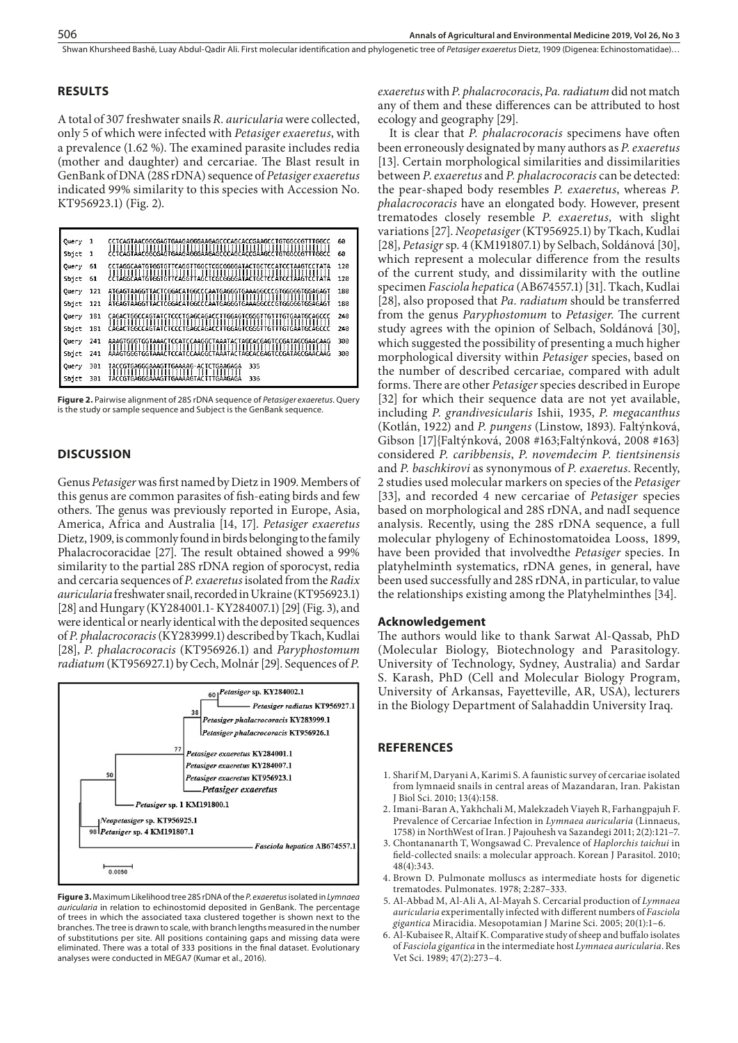Shwan Khursheed Bashē, Luay Abdul-Qadir Ali. First molecular identification and phylogenetic tree of *Petasiger exaeretus* Dietz, 1909 (Digenea: Echinostomatidae)...

## **RESULTS**

A total of 307 freshwater snails *R. auricularia* were collected, only 5 of which were infected with *Petasiger exaeretus*, with a prevalence (1.62 %). The examined parasite includes redia (mother and daughter) and cercariae. The Blast result in GenBank of DNA (28S rDNA) sequence of *Petasiger exaeretus* indicated 99% similarity to this species with Accession No. KT956923.1) (Fig. 2).

| Query | 1   | CCTCAGTAACGGCGAGTGAAGAGGGAAGAGCCCAGCACCGAAGCCTGTGGCCGTTTGGCC<br>111111111111111<br>,,,,,,,,,,,,,,,,,,,,,,,,,,,,,<br>,,,,,,,,, | 69  |
|-------|-----|-------------------------------------------------------------------------------------------------------------------------------|-----|
| Sbjet | 1   | CCTCAGTAACGGCGAGTGAAGAGGGAAGAGCCCAGCACCGAAGCCTGTGGCCGTTTGGCC                                                                  | 60  |
| Query | 61  | CCTAGGCAATGTGGTGTTCAGGTTGGCTCGCGGGGATACTGCTCCATCCTAAGTCCTATA<br>шш<br>11111111<br>11 H H<br>Н<br>Ш                            | 120 |
| Sojet | 61  | CCTAGGCAATGTGGTGTTCAGGTTAGCTCGCGGGGATACTGCTCCATCCTAAGTCCTATA                                                                  | 120 |
| Query | 121 | ATGAGTAAGGTTACTCGGACATGGCCCAATGAGGGTGAAAGGCCCGTGGGGGTGGAGAGTG                                                                 | 180 |
| Shjet | 121 | ATGAGTAAGGTTACTCGGACATGGCCCAATGAGGGTGAAAGGCCCGTGGGGGTGGAGAGT                                                                  | 180 |
| Query | 181 | ,,,,,,,,,,,,,,,,,,,,,,,,,,,,,<br>шн                                                                                           | 240 |
| Spict | 181 |                                                                                                                               | 240 |
| Query | 241 | AAAGTGGGTGGTAAACTCCATCCAAGGCTAAATACTAGCACGAGTCCGATAGCGAACAAG<br>,,,,,,,,,                                                     | 300 |
| Spict | 241 | AAAGTGGGTGGTAAACTCCATCCAAGGCTAAATACTAGCACGAGTCCGATAGCGAACAAG                                                                  | 300 |
| Query | 301 | TACCGTGAGGGAAAGTTGAAAAG-ACTCTGAAGAGA<br>335                                                                                   |     |
| Sbjet | 391 | 336<br>TACCGTGAGGGAAAGTTGAAAAGTACTTTGAAGAGA                                                                                   |     |

**Figure 2.** Pairwise alignment of 28S rDNA sequence of *Petasiger exaeretus*. Query is the study or sample sequence and Subject is the GenBank sequence.

## **DISCUSSION**

Genus *Petasiger* was first named by Dietz in 1909. Members of this genus are common parasites of fish-eating birds and few others. The genus was previously reported in Europe, Asia, America, Africa and Australia [14, 17]. *Petasiger exaeretus* Dietz, 1909, is commonly found in birds belonging to the family Phalacrocoracidae [27]. The result obtained showed a 99% similarity to the partial 28S rDNA region of sporocyst, redia and cercaria sequences of *P. exaeretus* isolated from the *Radix auricularia* freshwater snail, recorded in Ukraine (KT956923.1) [28] and Hungary (KY284001.1- KY284007.1) [29] (Fig. 3), and were identical or nearly identical with the deposited sequences of *P. phalacrocoracis* (KY283999.1) described by Tkach, Kudlai [28], *P. phalacrocoracis* (KT956926.1) and *Paryphostomum radiatum* (KT956927.1) by Cech, Molnár [29]. Sequences of *P.* 



**Figure 3.** Maximum Likelihood tree 28S rDNA of the *P. exaeretus* isolated in *Lymnaea auricularia* in relation to echinostomid deposited in GenBank. The percentage of trees in which the associated taxa clustered together is shown next to the branches. The tree is drawn to scale, with branch lengths measured in the number of substitutions per site. All positions containing gaps and missing data were eliminated. There was a total of 333 positions in the final dataset. Evolutionary analyses were conducted in MEGA7 (Kumar et al., 2016).

*exaeretus* with *P. phalacrocoracis*, *Pa. radiatum* did not match any of them and these differences can be attributed to host ecology and geography [29].

It is clear that *P. phalacrocoracis* specimens have often been erroneously designated by many authors as *P. exaeretus* [13]. Certain morphological similarities and dissimilarities between *P*. *exaeretus* and *P. phalacrocoracis* can be detected: the pear-shaped body resembles *P. exaeretus*, whereas *P. phalacrocoracis* have an elongated body. However, present trematodes closely resemble *P*. *exaeretus,* with slight variations [27]. *Neopetasiger* (KT956925.1) by Tkach, Kudlai [28], *Petasigr* sp. 4 (KM191807.1) by Selbach, Soldánová [30], which represent a molecular difference from the results of the current study, and dissimilarity with the outline specimen *Fasciola hepatica* (AB674557.1) [31]. Tkach, Kudlai [28], also proposed that *Pa. radiatum* should be transferred from the genus *Paryphostomum* to *Petasiger*. The current study agrees with the opinion of Selbach, Soldánová [30], which suggested the possibility of presenting a much higher morphological diversity within *Petasiger* species, based on the number of described cercariae, compared with adult forms. There are other *Petasiger* species described in Europe [32] for which their sequence data are not yet available, including *P. grandivesicularis* Ishii, 1935, *P. megacanthus*  (Kotlán, 1922) and *P. pungens* (Linstow, 1893). Faltýnková, Gibson [17]{Faltýnková, 2008 #163;Faltýnková, 2008 #163} considered *P. caribbensis*, *P*. *novemdecim P. tientsinensis* and *P. baschkirovi* as synonymous of *P. exaeretus*. Recently, 2 studies used molecular markers on species of the *Petasiger* [33], and recorded 4 new cercariae of *Petasiger* species based on morphological and 28S rDNA, and nadI sequence analysis. Recently, using the 28S rDNA sequence, a full molecular phylogeny of Echinostomatoidea Looss, 1899, have been provided that involvedthe *Petasiger* species. In platyhelminth systematics, rDNA genes, in general, have been used successfully and 28S rDNA, in particular, to value the relationships existing among the Platyhelminthes [34].

#### **Acknowledgement**

The authors would like to thank Sarwat Al-Qassab, PhD (Molecular Biology, Biotechnology and Parasitology. University of Technology, Sydney, Australia) and Sardar S. Karash, PhD (Cell and Molecular Biology Program, University of Arkansas, Fayetteville, AR, USA), lecturers in the Biology Department of Salahaddin University Iraq.

#### **REFERENCES**

- 1. Sharif M, Daryani A, Karimi S. A faunistic survey of cercariae isolated from lymnaeid snails in central areas of Mazandaran, Iran. Pakistan J Biol Sci. 2010; 13(4):158.
- 2. Imani-Baran A, Yakhchali M, Malekzadeh Viayeh R, Farhangpajuh F. Prevalence of Cercariae Infection in *Lymnaea auricularia* (Linnaeus, 1758) in NorthWest of Iran. J Pajouhesh va Sazandegi 2011; 2(2):121–7.
- 3. Chontananarth T, Wongsawad C. Prevalence of *Haplorchis taichui* in field-collected snails: a molecular approach. Korean J Parasitol. 2010; 48(4):343.
- 4. Brown D. Pulmonate molluscs as intermediate hosts for digenetic trematodes. Pulmonates. 1978; 2:287–333.
- 5. Al-Abbad M, Al-Ali A, Al-Mayah S. Cercarial production of *Lymnaea auricularia* experimentally infected with different numbers of *Fasciola gigantica* Miracidia. Mesopotamian J Marine Sci. 2005; 20(1):1–6.
- 6. Al-Kubaisee R, Altaif K. Comparative study of sheep and buffalo isolates of *Fasciola gigantica* in the intermediate host *Lymnaea auricularia*. Res Vet Sci. 1989; 47(2):273–4.